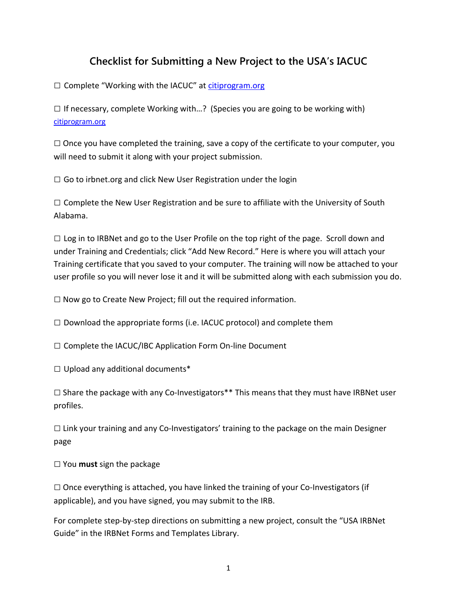## **Checklist for Submitting a New Project to the USA's IACUC**

 $\square$  Complete "Working with the IACUC" at citiprogram.org

 $\square$  If necessary, complete Working with...? (Species you are going to be working with) [citiprogram.org](http://www.southalabama.edu/researchcompliance/hipaa.html)

 $\square$  Once you have completed the training, save a copy of the certificate to your computer, you will need to submit it along with your project submission.

 $\Box$  Go to irbnet.org and click New User Registration under the login

 $\square$  Complete the New User Registration and be sure to affiliate with the University of South Alabama.

 $\Box$  Log in to IRBNet and go to the User Profile on the top right of the page. Scroll down and under Training and Credentials; click "Add New Record." Here is where you will attach your Training certificate that you saved to your computer. The training will now be attached to your user profile so you will never lose it and it will be submitted along with each submission you do.

 $\square$  Now go to Create New Project; fill out the required information.

 $\square$  Download the appropriate forms (i.e. IACUC protocol) and complete them

 $\square$  Complete the IACUC/IBC Application Form On-line Document

 $\Box$  Upload any additional documents\*

 $\square$  Share the package with any Co-Investigators\*\* This means that they must have IRBNet user profiles.

 $\square$  Link your training and any Co-Investigators' training to the package on the main Designer page

□ You **must** sign the package

 $\square$  Once everything is attached, you have linked the training of your Co-Investigators (if applicable), and you have signed, you may submit to the IRB.

For complete step-by-step directions on submitting a new project, consult the "USA IRBNet Guide" in the IRBNet Forms and Templates Library.